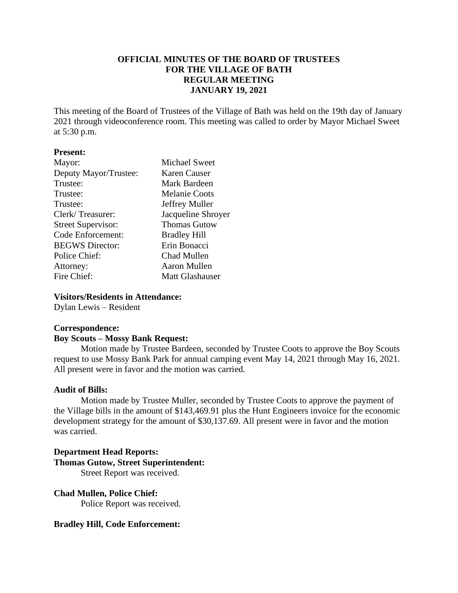# **OFFICIAL MINUTES OF THE BOARD OF TRUSTEES FOR THE VILLAGE OF BATH REGULAR MEETING JANUARY 19, 2021**

This meeting of the Board of Trustees of the Village of Bath was held on the 19th day of January 2021 through videoconference room. This meeting was called to order by Mayor Michael Sweet at 5:30 p.m.

#### **Present:**

| Mayor:                    | <b>Michael Sweet</b>   |
|---------------------------|------------------------|
| Deputy Mayor/Trustee:     | Karen Causer           |
| Trustee:                  | Mark Bardeen           |
| Trustee:                  | <b>Melanie Coots</b>   |
| Trustee:                  | Jeffrey Muller         |
| Clerk/Treasurer:          | Jacqueline Shroyer     |
| <b>Street Supervisor:</b> | <b>Thomas Gutow</b>    |
| <b>Code Enforcement:</b>  | <b>Bradley Hill</b>    |
| <b>BEGWS</b> Director:    | Erin Bonacci           |
| Police Chief:             | Chad Mullen            |
| Attorney:                 | Aaron Mullen           |
| Fire Chief:               | <b>Matt Glashauser</b> |
|                           |                        |

#### **Visitors/Residents in Attendance:**

Dylan Lewis – Resident

#### **Correspondence:**

#### **Boy Scouts – Mossy Bank Request:**

Motion made by Trustee Bardeen, seconded by Trustee Coots to approve the Boy Scouts request to use Mossy Bank Park for annual camping event May 14, 2021 through May 16, 2021. All present were in favor and the motion was carried.

#### **Audit of Bills:**

Motion made by Trustee Muller, seconded by Trustee Coots to approve the payment of the Village bills in the amount of \$143,469.91 plus the Hunt Engineers invoice for the economic development strategy for the amount of \$30,137.69. All present were in favor and the motion was carried.

# **Department Head Reports: Thomas Gutow, Street Superintendent:**

Street Report was received.

**Chad Mullen, Police Chief:** Police Report was received.

**Bradley Hill, Code Enforcement:**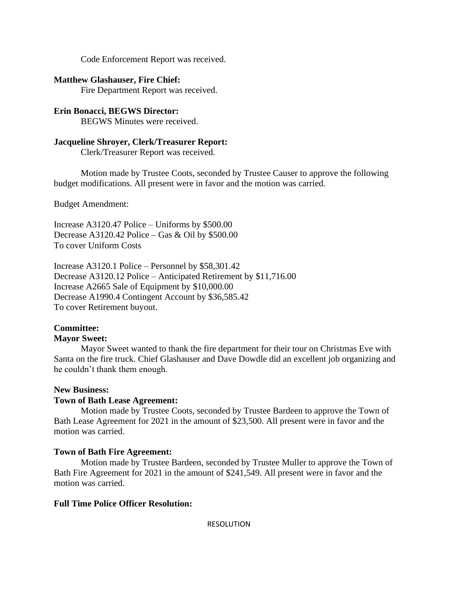Code Enforcement Report was received.

#### **Matthew Glashauser, Fire Chief:**

Fire Department Report was received.

## **Erin Bonacci, BEGWS Director:**

BEGWS Minutes were received.

## **Jacqueline Shroyer, Clerk/Treasurer Report:**

Clerk/Treasurer Report was received.

Motion made by Trustee Coots, seconded by Trustee Causer to approve the following budget modifications. All present were in favor and the motion was carried.

Budget Amendment:

Increase A3120.47 Police – Uniforms by \$500.00 Decrease A3120.42 Police – Gas & Oil by \$500.00 To cover Uniform Costs

Increase A3120.1 Police – Personnel by \$58,301.42 Decrease A3120.12 Police – Anticipated Retirement by \$11,716.00 Increase A2665 Sale of Equipment by \$10,000.00 Decrease A1990.4 Contingent Account by \$36,585.42 To cover Retirement buyout.

## **Committee:**

## **Mayor Sweet:**

Mayor Sweet wanted to thank the fire department for their tour on Christmas Eve with Santa on the fire truck. Chief Glashauser and Dave Dowdle did an excellent job organizing and he couldn't thank them enough.

#### **New Business:**

## **Town of Bath Lease Agreement:**

Motion made by Trustee Coots, seconded by Trustee Bardeen to approve the Town of Bath Lease Agreement for 2021 in the amount of \$23,500. All present were in favor and the motion was carried.

## **Town of Bath Fire Agreement:**

Motion made by Trustee Bardeen, seconded by Trustee Muller to approve the Town of Bath Fire Agreement for 2021 in the amount of \$241,549. All present were in favor and the motion was carried.

## **Full Time Police Officer Resolution:**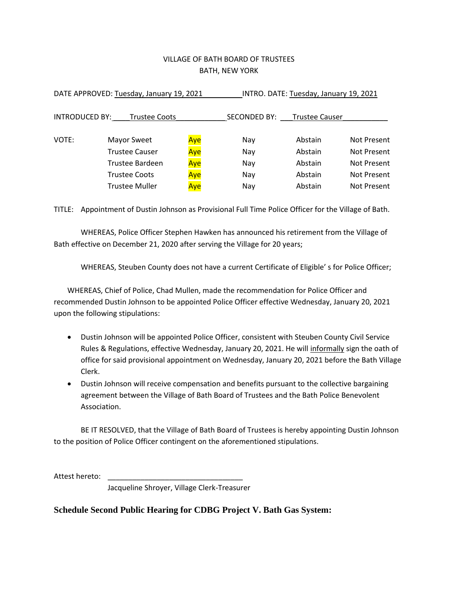# VILLAGE OF BATH BOARD OF TRUSTEES BATH, NEW YORK

| DATE APPROVED: Tuesday, January 19, 2021 |                       |     | INTRO. DATE: Tuesday, January 19, 2021 |                             |             |
|------------------------------------------|-----------------------|-----|----------------------------------------|-----------------------------|-------------|
| <b>INTRODUCED BY:</b>                    | <b>Trustee Coots</b>  |     |                                        | SECONDED BY: Trustee Causer |             |
| VOTE:                                    | Mayor Sweet           | Aye | Nay                                    | Abstain                     | Not Present |
|                                          | <b>Trustee Causer</b> | Aye | Nay                                    | Abstain                     | Not Present |
|                                          | Trustee Bardeen       | Aye | Nay                                    | Abstain                     | Not Present |
|                                          | <b>Trustee Coots</b>  | Aye | Nay                                    | Abstain                     | Not Present |
|                                          | <b>Trustee Muller</b> | Aye | Nay                                    | Abstain                     | Not Present |

TITLE: Appointment of Dustin Johnson as Provisional Full Time Police Officer for the Village of Bath.

WHEREAS, Police Officer Stephen Hawken has announced his retirement from the Village of Bath effective on December 21, 2020 after serving the Village for 20 years;

WHEREAS, Steuben County does not have a current Certificate of Eligible' s for Police Officer;

WHEREAS, Chief of Police, Chad Mullen, made the recommendation for Police Officer and recommended Dustin Johnson to be appointed Police Officer effective Wednesday, January 20, 2021 upon the following stipulations:

- Dustin Johnson will be appointed Police Officer, consistent with Steuben County Civil Service Rules & Regulations, effective Wednesday, January 20, 2021. He will *informally* sign the oath of office for said provisional appointment on Wednesday, January 20, 2021 before the Bath Village Clerk.
- Dustin Johnson will receive compensation and benefits pursuant to the collective bargaining agreement between the Village of Bath Board of Trustees and the Bath Police Benevolent Association.

BE IT RESOLVED, that the Village of Bath Board of Trustees is hereby appointing Dustin Johnson to the position of Police Officer contingent on the aforementioned stipulations.

Attest hereto: \_\_\_\_\_\_\_\_\_\_\_\_\_\_\_\_\_\_\_\_\_\_\_\_\_\_\_\_\_\_\_\_\_

Jacqueline Shroyer, Village Clerk-Treasurer

## **Schedule Second Public Hearing for CDBG Project V. Bath Gas System:**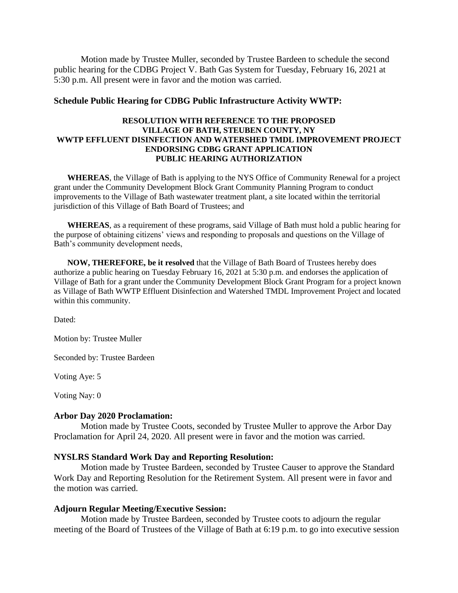Motion made by Trustee Muller, seconded by Trustee Bardeen to schedule the second public hearing for the CDBG Project V. Bath Gas System for Tuesday, February 16, 2021 at 5:30 p.m. All present were in favor and the motion was carried.

#### **Schedule Public Hearing for CDBG Public Infrastructure Activity WWTP:**

#### **RESOLUTION WITH REFERENCE TO THE PROPOSED VILLAGE OF BATH, STEUBEN COUNTY, NY WWTP EFFLUENT DISINFECTION AND WATERSHED TMDL IMPROVEMENT PROJECT ENDORSING CDBG GRANT APPLICATION PUBLIC HEARING AUTHORIZATION**

**WHEREAS**, the Village of Bath is applying to the NYS Office of Community Renewal for a project grant under the Community Development Block Grant Community Planning Program to conduct improvements to the Village of Bath wastewater treatment plant, a site located within the territorial jurisdiction of this Village of Bath Board of Trustees; and

**WHEREAS**, as a requirement of these programs, said Village of Bath must hold a public hearing for the purpose of obtaining citizens' views and responding to proposals and questions on the Village of Bath's community development needs,

**NOW, THEREFORE, be it resolved** that the Village of Bath Board of Trustees hereby does authorize a public hearing on Tuesday February 16, 2021 at 5:30 p.m. and endorses the application of Village of Bath for a grant under the Community Development Block Grant Program for a project known as Village of Bath WWTP Effluent Disinfection and Watershed TMDL Improvement Project and located within this community.

Dated:

Motion by: Trustee Muller

Seconded by: Trustee Bardeen

Voting Aye: 5

Voting Nay: 0

#### **Arbor Day 2020 Proclamation:**

Motion made by Trustee Coots, seconded by Trustee Muller to approve the Arbor Day Proclamation for April 24, 2020. All present were in favor and the motion was carried.

#### **NYSLRS Standard Work Day and Reporting Resolution:**

Motion made by Trustee Bardeen, seconded by Trustee Causer to approve the Standard Work Day and Reporting Resolution for the Retirement System. All present were in favor and the motion was carried.

#### **Adjourn Regular Meeting/Executive Session:**

Motion made by Trustee Bardeen, seconded by Trustee coots to adjourn the regular meeting of the Board of Trustees of the Village of Bath at 6:19 p.m. to go into executive session